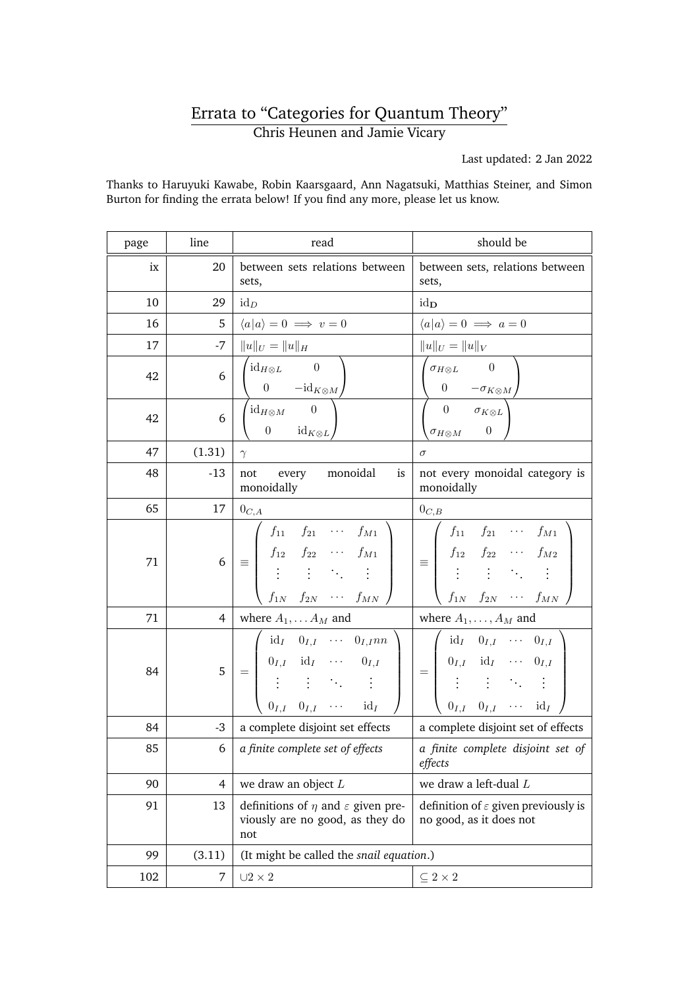## Errata to "Categories for Quantum Theory" Chris Heunen and Jamie Vicary

Last updated: 2 Jan 2022

Thanks to Haruyuki Kawabe, Robin Kaarsgaard, Ann Nagatsuki, Matthias Steiner, and Simon Burton for finding the errata below! If you find any more, please let us know.

| page | line           | read                                                                                                                                                                                                                                                     | should be                                                                                                                                                                                                                 |
|------|----------------|----------------------------------------------------------------------------------------------------------------------------------------------------------------------------------------------------------------------------------------------------------|---------------------------------------------------------------------------------------------------------------------------------------------------------------------------------------------------------------------------|
| ix   | 20             | between sets relations between<br>sets,                                                                                                                                                                                                                  | between sets, relations between<br>sets,                                                                                                                                                                                  |
| 10   | 29             | $id_D$                                                                                                                                                                                                                                                   | $id_{\mathbf{D}}$                                                                                                                                                                                                         |
| 16   | 5              | $\langle a a\rangle = 0 \implies v = 0$                                                                                                                                                                                                                  | $\langle a a\rangle = 0 \implies a = 0$                                                                                                                                                                                   |
| 17   | -7             | $  u  _U =   u  _H$                                                                                                                                                                                                                                      | $  u  _U =   u  _V$                                                                                                                                                                                                       |
| 42   | 6              | $\mathrm{id}_{H\otimes L}$ 0<br>0 $-\mathrm{id}_{K\otimes M}$                                                                                                                                                                                            | $\sigma_{H\otimes L}$ 0<br>$\overline{0}$<br>$-\sigma_{K\otimes M}$                                                                                                                                                       |
| 42   | 6              | $\mathrm{id}_{H\otimes M}$ 0<br>$\overline{0}$<br>$id_{K\otimes L}$                                                                                                                                                                                      | $\overline{0}$<br>$\sigma_{K\otimes L}$<br>$\boldsymbol{0}$<br>$\sigma_{H\otimes M}$                                                                                                                                      |
| 47   | (1.31)         | $\gamma$                                                                                                                                                                                                                                                 | $\sigma$                                                                                                                                                                                                                  |
| 48   | $-13$          | monoidal<br>is<br>not<br>every<br>monoidally                                                                                                                                                                                                             | not every monoidal category is<br>monoidally                                                                                                                                                                              |
| 65   | 17             | $0_{C,A}$                                                                                                                                                                                                                                                | $0_{C,B}$                                                                                                                                                                                                                 |
| 71   | 6 <sup>1</sup> | $\begin{array}{ c cccc } \hline \rule{0pt}{2.2ex} $f_{11}$ & $f_{21}$ & $\cdots$ & $f_{M1}$ \\ \hline $f_{12}$ & $f_{22}$ & $\cdots$ & $f_{M1}$ \\ \vdots$ & $\vdots$ & $\ddots$ & $\vdots$ \\\hline \end{array}$<br>$f_{1N}$ $f_{2N}$ $\cdots$ $f_{MN}$ | $\equiv \left( \begin{array}{cccc} f_{11} & f_{21} & \cdots & f_{M1} \\ f_{12} & f_{22} & \cdots & f_{M2} \\ \vdots & \vdots & \ddots & \vdots \end{array} \right)$<br>$f_{1N}$ $f_{2N}$ $\cdots$ $f_{MN}$                |
| 71   | $\overline{4}$ | where $A_1, \ldots A_M$ and                                                                                                                                                                                                                              | where $A_1, \ldots, A_M$ and                                                                                                                                                                                              |
| 84   | 5 <sup>1</sup> | $id_I$ $0_{I,I}$ $\cdots$ $0_{I,I}$ <i>nn</i><br>$=\left \begin{array}{cccc} 0_{I,I} & \mathrm{id}_I & \cdots & 0_{I,I} \\ \vdots & \vdots & \ddots & \vdots \end{array}\right $<br>$0_{I,I}$ $0_{I,I}$ $\cdots$ $\mathrm{id}_I$                         | $id_I$ $0_{I,I}$ $\cdots$ $0_{I,I}$<br>$= \left[ \begin{array}{cccc} 0_{I,I} & \mathrm{id}_I & \cdots & 0_{I,I} \\ \vdots & \vdots & \ddots & \vdots \end{array} \right]$<br>$0_{I,I}$ $0_{I,I}$ $\cdots$ $\mathrm{id}_I$ |
| 84   | $-3$           | a complete disjoint set effects                                                                                                                                                                                                                          | a complete disjoint set of effects                                                                                                                                                                                        |
| 85   | 6              | a finite complete set of effects                                                                                                                                                                                                                         | a finite complete disjoint set of<br>effects                                                                                                                                                                              |
| 90   | $\overline{4}$ | we draw an object $L$                                                                                                                                                                                                                                    | we draw a left-dual L                                                                                                                                                                                                     |
| 91   | 13             | definitions of $\eta$ and $\varepsilon$ given pre-<br>viously are no good, as they do<br>not                                                                                                                                                             | definition of $\varepsilon$ given previously is<br>no good, as it does not                                                                                                                                                |
| 99   | (3.11)         | (It might be called the snail equation.)                                                                                                                                                                                                                 |                                                                                                                                                                                                                           |
| 102  | 7              | $\cup 2 \times 2$                                                                                                                                                                                                                                        | $\subseteq 2\times 2$                                                                                                                                                                                                     |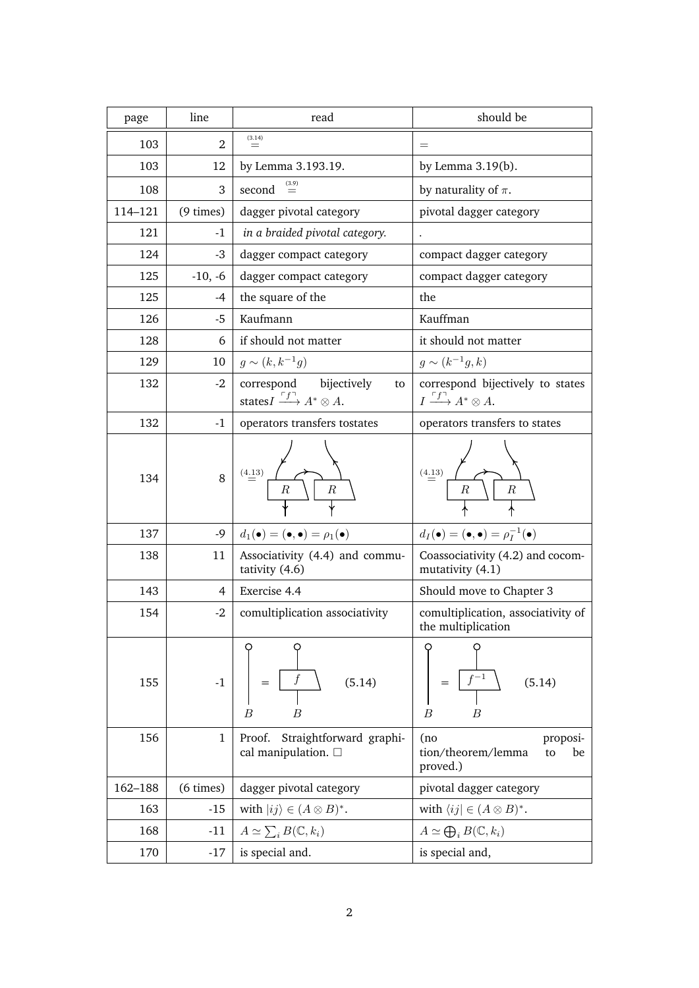| page    | line           | read                                                             | should be                                                     |
|---------|----------------|------------------------------------------------------------------|---------------------------------------------------------------|
| 103     | 2              | (3.14)<br>$=$                                                    | $=$                                                           |
| 103     | 12             | by Lemma 3.193.19.                                               | by Lemma $3.19(b)$ .                                          |
| 108     | 3              | second                                                           | by naturality of $\pi$ .                                      |
| 114-121 | $(9 \times)$   | dagger pivotal category                                          | pivotal dagger category                                       |
| 121     | -1             | in a braided pivotal category.                                   | $\ddot{\phantom{a}}$                                          |
| 124     | $-3$           | dagger compact category                                          | compact dagger category                                       |
| 125     | $-10, -6$      | dagger compact category                                          | compact dagger category                                       |
| 125     | -4             | the square of the                                                | the                                                           |
| 126     | -5             | Kaufmann                                                         | Kauffman                                                      |
| 128     | 6              | if should not matter                                             | it should not matter                                          |
| 129     | 10             | $g \sim (k, k^{-1}g)$                                            | $g \sim (k^{-1}g, k)$                                         |
| 132     | $-2$           | correspond bijectively<br>to                                     | correspond bijectively to states                              |
|         |                | states $I \xrightarrow{f^{\dagger}} A^* \otimes A$ .             | $I \xrightarrow{\ulcorner f \urcorner} A^* \otimes A.$        |
| 132     | $-1$           | operators transfers tostates                                     | operators transfers to states                                 |
| 134     | 8              | (4.13)<br>$\boldsymbol{R}$<br>$\boldsymbol{R}$                   | (4.13)<br>$\boldsymbol{R}$<br>$\boldsymbol{R}$                |
| 137     | $-9$           | $d_1(\bullet)=(\bullet,\bullet)=\rho_1(\bullet)$                 | $d_I(\bullet)=(\bullet,\bullet)=\rho_I^{-1}(\bullet)$         |
| 138     | 11             | Associativity (4.4) and commu-<br>tativity (4.6)                 | Coassociativity (4.2) and cocom-<br>mutativity (4.1)          |
| 143     | $\overline{4}$ | Exercise 4.4                                                     | Should move to Chapter 3                                      |
| 154     | $-2$           | comultiplication associativity                                   | comultiplication, associativity of<br>the multiplication      |
| 155     | $-1$           | (5.14)<br>$\overline{B}$<br>$\boldsymbol{B}$                     | (5.14)<br>$\boldsymbol{B}$<br>B                               |
| 156     | $\mathbf{1}$   | Straightforward graphi-<br>Proof.<br>cal manipulation. $\square$ | (no<br>proposi-<br>tion/theorem/lemma<br>be<br>to<br>proved.) |
| 162-188 | $(6 \times)$   | dagger pivotal category                                          | pivotal dagger category                                       |
| 163     | $-15$          | with $ ij\rangle \in (A \otimes B)^*$ .                          | with $\langle ij   \in (A \otimes B)^*$ .                     |
| 168     | $-11$          | $A\simeq \sum_i B(\mathbb{C},k_i)$                               | $A \simeq \bigoplus_i B(\mathbb{C}, k_i)$                     |
| 170     | $-17$          | is special and.                                                  | is special and,                                               |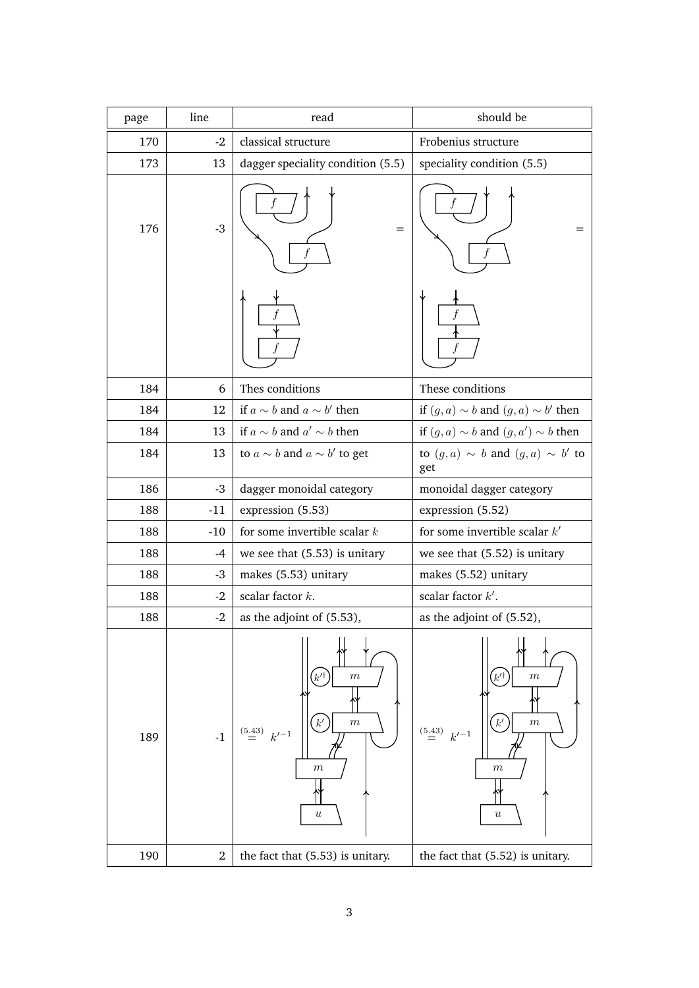| page | line           | read                                                                                                                    | should be                                                                                                                   |
|------|----------------|-------------------------------------------------------------------------------------------------------------------------|-----------------------------------------------------------------------------------------------------------------------------|
| 170  | $-2$           | classical structure                                                                                                     | Frobenius structure                                                                                                         |
| 173  | 13             | dagger speciality condition (5.5)                                                                                       | speciality condition (5.5)                                                                                                  |
| 176  | $-3$           | $=$                                                                                                                     |                                                                                                                             |
|      |                |                                                                                                                         |                                                                                                                             |
| 184  | 6              | Thes conditions                                                                                                         | These conditions                                                                                                            |
| 184  | 12             | if $a \sim b$ and $a \sim b'$ then                                                                                      | if $(g, a) \sim b$ and $(g, a) \sim b'$ then                                                                                |
| 184  | 13             | if $a \sim b$ and $a' \sim b$ then                                                                                      | if $(g, a) \sim b$ and $(g, a') \sim b$ then                                                                                |
| 184  | 13             | to $a \sim b$ and $a \sim b'$ to get                                                                                    | to $(g, a) \sim b$ and $(g, a) \sim b'$ to<br>get                                                                           |
| 186  | $-3$           | dagger monoidal category                                                                                                | monoidal dagger category                                                                                                    |
| 188  | $-11$          | expression (5.53)                                                                                                       | expression (5.52)                                                                                                           |
| 188  | $-10$          | for some invertible scalar $k$                                                                                          | for some invertible scalar $k'$                                                                                             |
| 188  | $-4$           | we see that $(5.53)$ is unitary                                                                                         | we see that $(5.52)$ is unitary                                                                                             |
| 188  | $-3$           | makes (5.53) unitary                                                                                                    | makes (5.52) unitary                                                                                                        |
| 188  | $-2$           | scalar factor $k$ .                                                                                                     | scalar factor $k'$ .                                                                                                        |
| 188  | $-2$           | as the adjoint of (5.53),                                                                                               | as the adjoint of (5.52),                                                                                                   |
| 189  | $^{\rm -1}$    | $\boldsymbol{m}$<br>k'<br>$k^\prime$<br>$\boldsymbol{m}$<br>$\stackrel{(5.43)}{=} k'^{-1}$<br>$\,m$<br>$\boldsymbol{u}$ | $\,m$<br>$k^{\prime}$<br>$k^\prime$<br>$\,m$<br>$\stackrel{(5.43)}{=}$<br>$k'^{-1}$<br>$\boldsymbol{m}$<br>$\boldsymbol{u}$ |
| 190  | $\overline{2}$ | the fact that (5.53) is unitary.                                                                                        | the fact that (5.52) is unitary.                                                                                            |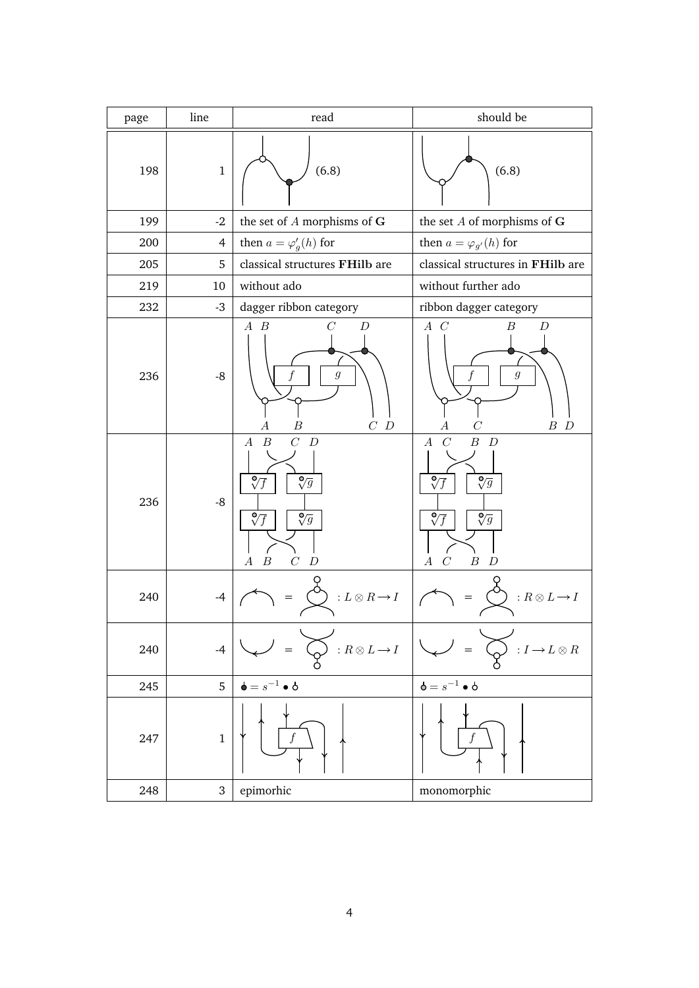| page | line           | read                                                                                                                                                                                                        | should be                                                                                                                                                                                                                       |
|------|----------------|-------------------------------------------------------------------------------------------------------------------------------------------------------------------------------------------------------------|---------------------------------------------------------------------------------------------------------------------------------------------------------------------------------------------------------------------------------|
| 198  | $\mathbf{1}$   | (6.8)                                                                                                                                                                                                       | (6.8)                                                                                                                                                                                                                           |
| 199  | $-2$           | the set of $A$ morphisms of $G$                                                                                                                                                                             | the set $A$ of morphisms of ${\bf G}$                                                                                                                                                                                           |
| 200  | $\overline{4}$ | then $a = \varphi'_g(h)$ for                                                                                                                                                                                | then $a = \varphi_{g'}(h)$ for                                                                                                                                                                                                  |
| 205  | 5              | classical structures FHilb are                                                                                                                                                                              | classical structures in FHilb are                                                                                                                                                                                               |
| 219  | 10             | without ado                                                                                                                                                                                                 | without further ado                                                                                                                                                                                                             |
| 232  | $-3$           | dagger ribbon category                                                                                                                                                                                      | ribbon dagger category                                                                                                                                                                                                          |
| 236  | $-8$           | $A$ $B$<br>D<br>$\mathfrak{g}$<br>$\cal C$ $\cal D$<br>В                                                                                                                                                    | $A \ C$<br>В<br>D<br>$\mathfrak{g}$<br>$B$ $D$                                                                                                                                                                                  |
| 236  | $-8$           | $\overline{C}$<br>$\boldsymbol{B}$<br>$\boldsymbol{D}$<br>$\boldsymbol{A}$<br>$\sqrt[6]{f}$<br>$\sqrt[{\mathbb{O}}]{g}$<br>$\sqrt[6]{f}$<br>$\sqrt[6]{g}$<br>$\boldsymbol{B}$<br>C<br>D<br>$\boldsymbol{A}$ | $\boldsymbol{B}$<br>$\boldsymbol{A}$<br>$\mathcal{C}$<br>$\boldsymbol{D}$<br>$\sqrt[6]{g}$<br>$\sqrt[6]{}$<br>F<br>$\sqrt[6]{f}$<br>$\sqrt[6]{g}$<br>$\overline{C}$<br>$\boldsymbol{B}$<br>$\boldsymbol{A}$<br>$\boldsymbol{D}$ |
| 240  | $-4$           | : $L\otimes R\mathop{\rightarrow}\limits I$                                                                                                                                                                 | $: R \otimes L \rightarrow I$                                                                                                                                                                                                   |
| 240  | $-4$           | : $R\otimes L\mathop{\rightarrow}\limits I$                                                                                                                                                                 | $I\longrightarrow L\otimes R$                                                                                                                                                                                                   |
| 245  | 5              | $\mathbf{b} = s^{-1} \bullet \mathbf{b}$                                                                                                                                                                    | $\mathbf{b} = s^{-1} \bullet \mathbf{b}$                                                                                                                                                                                        |
| 247  | $\mathbf{1}$   |                                                                                                                                                                                                             |                                                                                                                                                                                                                                 |
| 248  | 3              | epimorhic                                                                                                                                                                                                   | monomorphic                                                                                                                                                                                                                     |